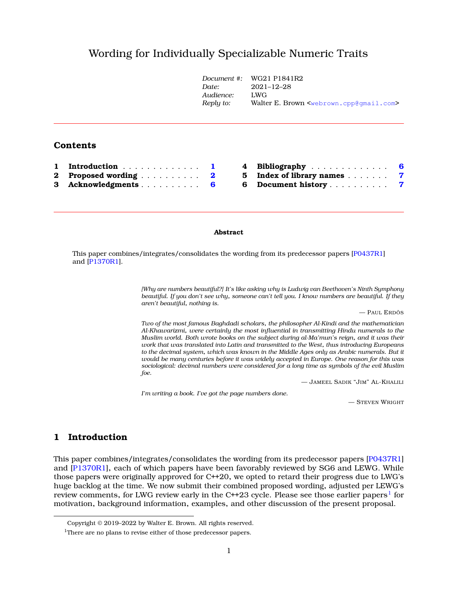# Wording for Individually Specializable Numeric Trait[s](#page-0-0)

|          |                  | Document #:<br>Date:<br>Audience: | WG21 P1841R2<br>$2021 - 12 - 28$<br>LWG<br>Walter E. Brown <webrown.cpp@qmail.com></webrown.cpp@qmail.com> |     |
|----------|------------------|-----------------------------------|------------------------------------------------------------------------------------------------------------|-----|
|          |                  | Reply to:                         |                                                                                                            |     |
|          | <b>Contents</b>  |                                   |                                                                                                            |     |
|          | Introduction     | 4                                 | Bibliography                                                                                               | - 6 |
| $\bf{2}$ | Proposed wording | 5.<br>$\mathbf{2}$                | Index of library names                                                                                     | -7  |
| 3        | Acknowledgments  | 6<br>6                            | Document history                                                                                           | 7   |

### **Abstract**

This paper combines/integrates/consolidates the wording from its predecessor papers [\[P0437R1\]](#page-5-2) and [\[P1370R1\]](#page-5-3).

> *[Why are numbers beautiful?] It's like asking why is Ludwig van Beethoven's Ninth Symphony beautiful. If you don't see why, someone can't tell you. I know numbers are beautiful. If they aren't beautiful, nothing is.*

> > — PAUL ERDÖS

*Two of the most famous Baghdadi scholars, the philosopher Al-Kindi and the mathematician Al-Khawarizmi, were certainly the most influential in transmitting Hindu numerals to the Muslim world. Both wrote books on the subject during al-Ma'mun's reign, and it was their work that was translated into Latin and transmitted to the West, thus introducing Europeans to the decimal system, which was known in the Middle Ages only as Arabic numerals. But it would be many centuries before it was widely accepted in Europe. One reason for this was sociological: decimal numbers were considered for a long time as symbols of the evil Muslim foe.*

— JAMEEL SADIK "JIM" AL-KHALILI

*I'm writing a book. I've got the page numbers done.*

— STEVEN WRIGHT

# <span id="page-0-1"></span>**1 Introduction**

This paper combines/integrates/consolidates the wording from its predecessor papers [\[P0437R1\]](#page-5-2) and [\[P1370R1\]](#page-5-3), each of which papers have been favorably reviewed by SG6 and LEWG. While those papers were originally approved for C++20, we opted to retard their progress due to LWG's huge backlog at the time. We now submit their combined proposed wording, adjusted per LEWG's review comments, for LWG review early in the C++23 cycle. Please see those earlier papers $^{\rm l}$  for motivation, background information, examples, and other discussion of the present proposal.

<span id="page-0-0"></span>Copyright © 2019–2022 by Walter E. Brown. All rights reserved.

<span id="page-0-2"></span><sup>&</sup>lt;sup>1</sup>There are no plans to revise either of those predecessor papers.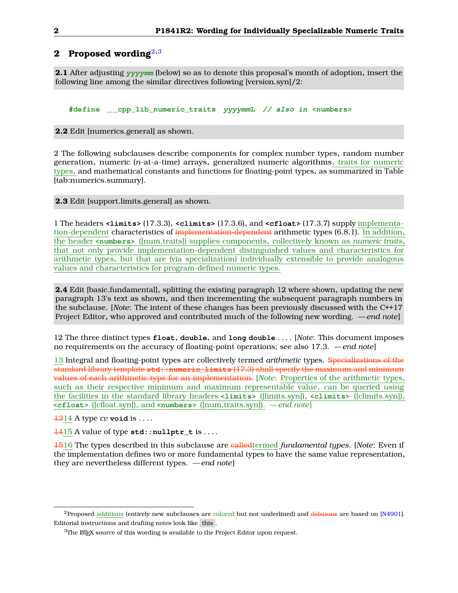# <span id="page-1-0"></span>**2 Proposed wording**[2](#page-1-1)**,**[3](#page-1-2)

**2.1** After adjusting **yyyymm** (below) so as to denote this proposal's month of adoption, insert the following line among the similar directives following [version.syn]/2:

**#define \_ \_cpp\_lib\_numeric\_traits yyyymmL // also in <numbers>**

**2.2** Edit [numerics.general] as shown.

2 The following subclauses describe components for complex number types, random number generation, numeric (*n*-at-a-time) arrays, generalized numeric algorithms, traits for numeric types, and mathematical constants and functions for floating-point types, as summarized in Table [tab:numerics.summary].

**2.3** Edit [support.limits.general] as shown.

1 The headers **<limits>** (17.3.3), **<climits>** (17.3.6), and **<cfloat>** (17.3.7) supply implementation-dependent characteristics of implementation-dependent arithmetic types (6.8.1). In addition, the header **<numbers>** ([num.traits]) supplies components, collectively known as *numeric traits*, that not only provide implementation-dependent distinguished values and characteristics for arithmetic types, but that are (via specialization) individually extensible to provide analogous values and characteristics for program-defined numeric types.

**2.4** Edit [basic.fundamental], splitting the existing paragraph 12 where shown, updating the new paragraph 13's text as shown, and then incrementing the subsequent paragraph numbers in the subclause. [*Note*: The intent of these changes has been previously discussed with the C++17 Project Editor, who approved and contributed much of the following new wording. *— end note*]

12 The three distinct types **float**, **double**, and **long double** . . . . [*Note*: This document imposes no requirements on the accuracy of floating-point operations; see also 17.3. *— end note*]

13 Integral and floating-point types are collectively termed *arithmetic* types. Specializations of the standard library template **std::numeric\_limits** (17.3) shall specify the maximum and minimum values of each arithmetic type for an implementation. [*Note*: Properties of the arithmetic types, such as their respective minimum and maximum representable value, can be queried using the facilities in the standard library headers **<limits>** ([limits.syn]), **<climits>** ([climits.syn]), **<cfloat>** ([cfloat.syn]), and **<numbers>** ([num.traits.syn]). *— end note*]

1314 A type *cv* **void** is . . . .

1415 A value of type **std::nullptr\_t** is . . . .

1516 The types described in this subclause are calledtermed *fundamental types*. [*Note*: Even if the implementation defines two or more fundamental types to have the same value representation, they are nevertheless different types. *— end note*]

<span id="page-1-1"></span> ${}^{2}$ Proposed additions (entirely new subclauses are colored but not underlined) and deletions are based on [\[N4901\]](#page-5-4). Editorial instructions and drafting notes look like this .

<span id="page-1-2"></span> $3$ The  $\mathbb{E}$ F<sub>F</sub>X source of this wording is available to the Project Editor upon request.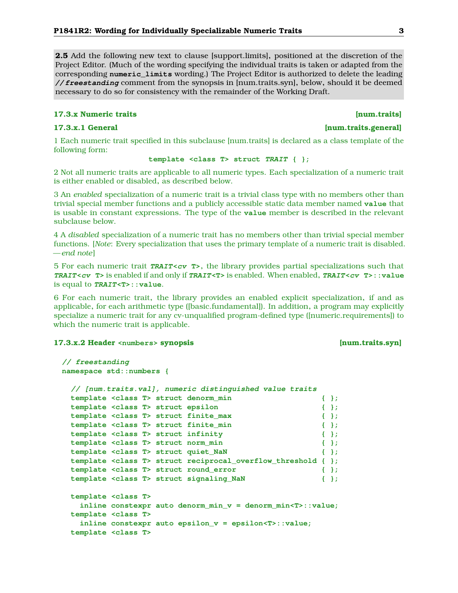<span id="page-2-0"></span>**2.5** Add the following new text to clause [support.limits], positioned at the discretion of the Project Editor. (Much of the wording specifying the individual traits is taken or adapted from the corresponding **numeric\_limits** wording.) The Project Editor is authorized to delete the leading **// freestanding** comment from the synopsis in [num.traits.syn], below, should it be deemed necessary to do so for consistency with the remainder of the Working Draft.

### **17.3.x Numeric traits [num.traits]**

### **17.3.x.1 General [num.traits.general]**

1 Each numeric trait specified in this subclause [num.traits] is declared as a class template of the following form:

## **template <class T> struct TRAIT { };**

2 Not all numeric traits are applicable to all numeric types. Each specialization of a numeric trait is either enabled or disabled, as described below.

3 An *enabled* specialization of a numeric trait is a trivial class type with no members other than trivial special member functions and a publicly accessible static data member named **value** that is usable in constant expressions. The type of the **value** member is described in the relevant subclause below.

4 A *disabled* specialization of a numeric trait has no members other than trivial special member functions. [*Note*: Every specialization that uses the primary template of a numeric trait is disabled. *— end note*]

5 For each numeric trait **TRAIT<cv T>**, the library provides partial specializations such that **TRAIT<cv T>** is enabled if and only if **TRAIT<T>** is enabled. When enabled, **TRAIT<cv T>::value** is equal to **TRAIT<T>::value**.

6 For each numeric trait, the library provides an enabled explicit specialization, if and as applicable, for each arithmetic type ([basic.fundamental]). In addition, a program may explicitly specialize a numeric trait for any cv-unqualified program-defined type ([numeric.requirements]) to which the numeric trait is applicable.

## **17.3.x.2 Header <numbers> synopsis [num.traits.syn]**

```
// freestanding
namespace std::numbers {
 // [num.traits.val], numeric distinguished value traits
 template <class T> struct denorm_min { };
 template <class T> struct epsilon { };
 template <class T> struct finite_max { };
 template <class T> struct finite_min { };
 template <class T> struct infinity { };
 template <class T> struct norm_min { };
 template <class T> struct quiet_NaN { };
 template <class T> struct reciprocal_overflow_threshold { };
 template <class T> struct round_error { };
 template <class T> struct signaling_NaN { };
 template <class T>
   inline constexpr auto denorm_min_v = denorm_min<T>::value;
 template <class T>
   inline constexpr auto epsilon_v = epsilon<T>::value;
 template <class T>
```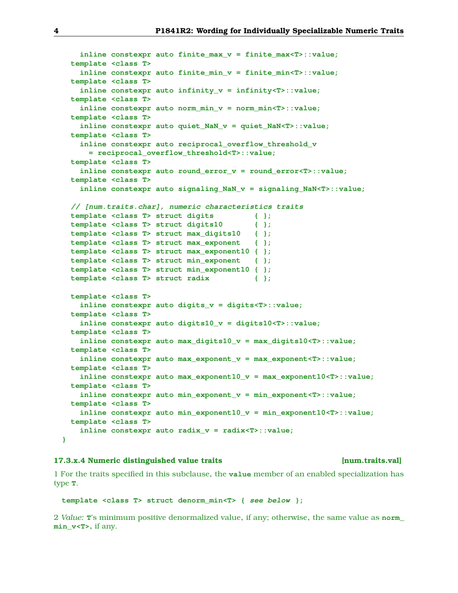```
inline constexpr auto finite_max_v = finite_max<T>::value;
 template <class T>
   inline constexpr auto finite_min_v = finite_min<T>::value;
 template <class T>
   inline constexpr auto infinity_v = infinity<T>::value;
 template <class T>
   inline constexpr auto norm_min_v = norm_min<T>::value;
 template <class T>
   inline constexpr auto quiet_NaN_v = quiet_NaN<T>::value;
 template <class T>
   inline constexpr auto reciprocal_overflow_threshold_v
      = reciprocal_overflow_threshold<T>::value;
  template <class T>
   inline constexpr auto round_error_v = round_error<T>::value;
 template <class T>
   inline constexpr auto signaling_NaN_v = signaling_NaN<T>::value;
  // [num.traits.char], numeric characteristics traits
 template <class T> struct digits { };
  template <class T> struct digits10 { };
 template <class T> struct max_digits10 { };
 template <class T> struct max_exponent { };
 template <class T> struct max_exponent10 { };
  template <class T> struct min_exponent { };
 template <class T> struct min_exponent10 { };
  template <class T> struct radix { };
 template <class T>
   inline constexpr auto digits_v = digits<T>::value;
  template <class T>
   inline constexpr auto digits10_v = digits10<T>::value;
 template <class T>
   inline constexpr auto max_digits10_v = max_digits10<T>::value;
 template <class T>
   inline constexpr auto max_exponent_v = max_exponent<T>::value;
 template <class T>
   inline constexpr auto max_exponent10_v = max_exponent10<T>::value;
 template <class T>
   inline constexpr auto min_exponent_v = min_exponent<T>::value;
 template <class T>
   inline constexpr auto min_exponent10_v = min_exponent10<T>::value;
 template <class T>
   inline constexpr auto radix_v = radix<T>::value;
}
```
### **17.3.x.4 Numeric distinguished value traits [num.traits.val]**

1 For the traits specified in this subclause, the **value** member of an enabled specialization has type **T**.

```
template <class T> struct denorm_min<T> { see below };
```
2 *Value:* **T**'s minimum positive denormalized value, if any; otherwise, the same value as **norm\_ min\_v<T>**, if any.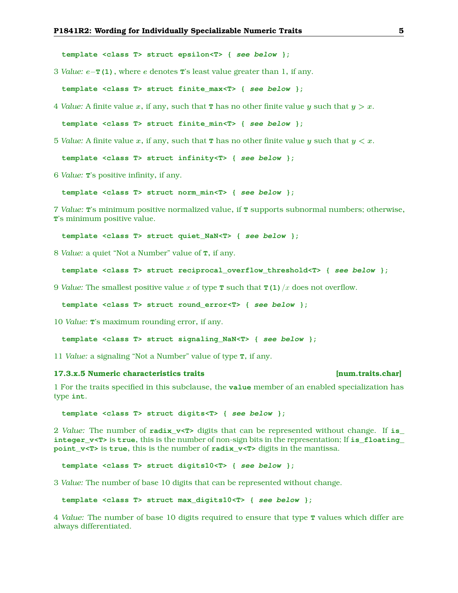<span id="page-4-0"></span>**template <class T> struct epsilon<T> { see below };**

3 *Value:* e−**T(1)**, where e denotes **T**'s least value greater than 1, if any.

**template <class T> struct finite\_max<T> { see below };**

4 *Value:* A finite value x, if any, such that **T** has no other finite value y such that  $y > x$ .

**template <class T> struct finite\_min<T> { see below };**

5 *Value:* A finite value x, if any, such that **T** has no other finite value y such that  $y < x$ .

**template <class T> struct infinity<T> { see below };**

6 *Value:* **T**'s positive infinity, if any.

**template <class T> struct norm\_min<T> { see below };**

7 *Value:* **T**'s minimum positive normalized value, if **T** supports subnormal numbers; otherwise, **T**'s minimum positive value.

**template <class T> struct quiet\_NaN<T> { see below };**

8 *Value:* a quiet "Not a Number" value of **T**, if any.

```
template <class T> struct reciprocal_overflow_threshold<T> { see below };
```
9 *Value:* The smallest positive value x of type **T** such that **T(1)**/x does not overflow.

**template <class T> struct round\_error<T> { see below };**

10 *Value:* **T**'s maximum rounding error, if any.

```
template <class T> struct signaling_NaN<T> { see below };
```
11 *Value:* a signaling "Not a Number" value of type **T**, if any.

### **17.3.x.5 Numeric characteristics traits [num.traits.char]**

1 For the traits specified in this subclause, the **value** member of an enabled specialization has type **int**.

**template <class T> struct digits<T> { see below };**

2 *Value:* The number of **radix\_v<T>** digits that can be represented without change. If **is\_ integer\_v<T>** is **true**, this is the number of non-sign bits in the representation; If **is\_floating\_ point\_v<T>** is **true**, this is the number of **radix\_v<T>** digits in the mantissa.

**template <class T> struct digits10<T> { see below };**

3 *Value:* The number of base 10 digits that can be represented without change.

**template <class T> struct max\_digits10<T> { see below };**

4 *Value:* The number of base 10 digits required to ensure that type **T** values which differ are always differentiated.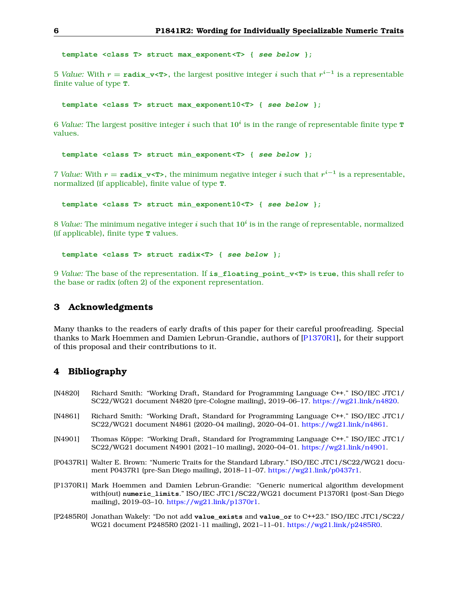<span id="page-5-5"></span>**template <class T> struct max\_exponent<T> { see below };**

5 *Value:* With  $r = \text{radix_v}$  v<T>, the largest positive integer  $i$  such that  $r^{i-1}$  is a representable finite value of type **T**.

**template <class T> struct max\_exponent10<T> { see below };**

 $6$  *Value:* The largest positive integer  $i$  such that  $10^i$  is in the range of representable finite type  $\texttt{T}$ values.

**template <class T> struct min\_exponent<T> { see below };**

7 *Value:* With  $r = \text{radix_v}$   $\text{×T>}$ , the minimum negative integer *i* such that  $r^{i-1}$  is a representable, normalized (if applicable), finite value of type **T**.

**template <class T> struct min\_exponent10<T> { see below };**

 $8$  *Value:* The minimum negative integer  $i$  such that  $10^i$  is in the range of representable, normalized (if applicable), finite type **T** values.

**template <class T> struct radix<T> { see below };**

9 *Value:* The base of the representation. If **is\_floating\_point\_v<T>** is **true**, this shall refer to the base or radix (often 2) of the exponent representation.

# <span id="page-5-0"></span>**3 Acknowledgments**

Many thanks to the readers of early drafts of this paper for their careful proofreading. Special thanks to Mark Hoemmen and Damien Lebrun-Grandie, authors of [\[P1370R1\]](#page-5-3), for their support of this proposal and their contributions to it.

# <span id="page-5-1"></span>**4 Bibliography**

- <span id="page-5-6"></span>[N4820] Richard Smith: "Working Draft, Standard for Programming Language C++." ISO/IEC JTC1/ SC22/WG21 document N4820 (pre-Cologne mailing), 2019–06–17. [https://wg21.link/n4820.](https://wg21.link/n4820)
- <span id="page-5-7"></span>[N4861] Richard Smith: "Working Draft, Standard for Programming Language C++." ISO/IEC JTC1/ SC22/WG21 document N4861 (2020–04 mailing), 2020–04–01. [https://wg21.link/n4861.](https://wg21.link/n4861)
- <span id="page-5-4"></span>[N4901] Thomas Köppe: "Working Draft, Standard for Programming Language C++." ISO/IEC JTC1/ SC22/WG21 document N4901 (2021–10 mailing), 2020–04–01. [https://wg21.link/n4901.](https://wg21.link/n4901)
- <span id="page-5-2"></span>[P0437R1] Walter E. Brown: "Numeric Traits for the Standard Library." ISO/IEC JTC1/SC22/WG21 document P0437R1 (pre-San Diego mailing), 2018–11–07. [https://wg21.link/p0437r1.](https://wg21.link/p0437r1)
- <span id="page-5-3"></span>[P1370R1] Mark Hoemmen and Damien Lebrun-Grandie: "Generic numerical algorithm development with(out) **numeric\_limits**." ISO/IEC JTC1/SC22/WG21 document P1370R1 (post-San Diego mailing), 2019–03–10. [https://wg21.link/p1370r1.](https://wg21.link/p1370r1)
- <span id="page-5-8"></span>[P2485R0] Jonathan Wakely: "Do not add **value\_exists** and **value\_or** to C++23." ISO/IEC JTC1/SC22/ WG21 document P2485R0 (2021-11 mailing), 2021–11–01. [https://wg21.link/p2485R0.](https://wg21.link/p2485R0)